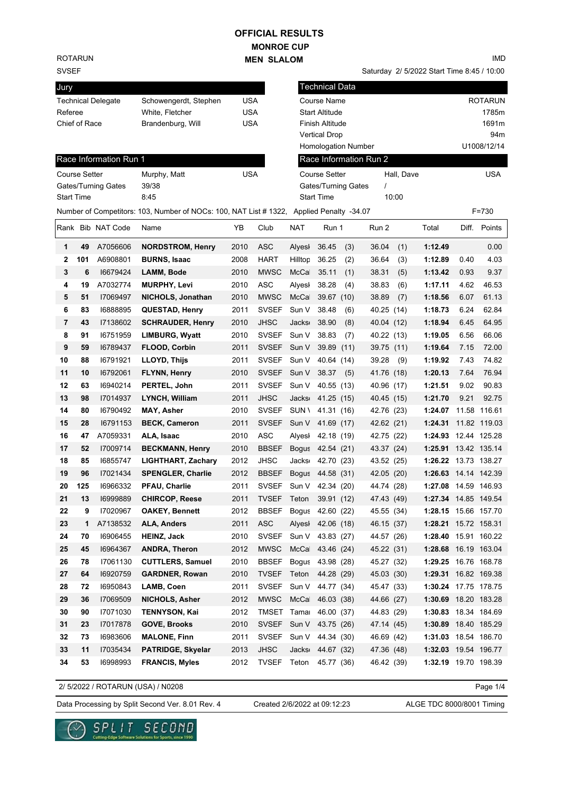## **MONROE CUP MEN SLALOM OFFICIAL RESULTS**

ROTARUN

## SVSEF

| Jury                      |                       |     |
|---------------------------|-----------------------|-----|
| <b>Technical Delegate</b> | Schowengerdt, Stephen | USA |
| Referee                   | White, Fletcher       | USA |
| Chief of Race             | Brandenburg, Will     | USA |
|                           |                       |     |

Saturday 2/ 5/2022 Start Time 8:45 / 10:00

| Jury                 |     |                        |                                                                                          |            |                        |                    | <b>Technical Data</b>      |     |                        |            |                        |      |                |
|----------------------|-----|------------------------|------------------------------------------------------------------------------------------|------------|------------------------|--------------------|----------------------------|-----|------------------------|------------|------------------------|------|----------------|
|                      |     | Technical Delegate     | Schowengerdt, Stephen                                                                    | <b>USA</b> |                        |                    | Course Name                |     |                        |            |                        |      | <b>ROTARUN</b> |
| Referee              |     |                        | White, Fletcher                                                                          | <b>USA</b> |                        |                    | <b>Start Altitude</b>      |     |                        |            |                        |      | 1785m          |
| Chief of Race        |     |                        | Brandenburg, Will                                                                        | <b>USA</b> |                        |                    | Finish Altitude            |     |                        |            |                        |      | 1691m          |
|                      |     |                        |                                                                                          |            |                        |                    | <b>Vertical Drop</b>       |     |                        |            |                        |      | 94m            |
|                      |     |                        |                                                                                          |            |                        |                    | Homologation Number        |     |                        |            |                        |      | U1008/12/14    |
|                      |     | Race Information Run 1 |                                                                                          |            |                        |                    |                            |     | Race Information Run 2 |            |                        |      |                |
| <b>Course Setter</b> |     |                        | Murphy, Matt                                                                             | <b>USA</b> |                        |                    | <b>Course Setter</b>       |     |                        | Hall, Dave |                        |      | <b>USA</b>     |
|                      |     | Gates/Turning Gates    | 39/38                                                                                    |            |                        |                    | <b>Gates/Turning Gates</b> |     | $\prime$               |            |                        |      |                |
| <b>Start Time</b>    |     |                        | 8:45                                                                                     |            |                        |                    | <b>Start Time</b>          |     |                        | 10:00      |                        |      |                |
|                      |     |                        | Number of Competitors: 103, Number of NOCs: 100, NAT List # 1322, Applied Penalty -34.07 |            |                        |                    |                            |     |                        |            |                        |      | $F = 730$      |
|                      |     | Rank Bib NAT Code      | Name                                                                                     | YB         | Club                   | <b>NAT</b>         | Run 1                      |     | Run 2                  |            | Total                  |      | Diff. Points   |
| 1                    | 49  | A7056606               | <b>NORDSTROM, Henry</b>                                                                  | 2010       | <b>ASC</b>             | Alyesl             | 36.45                      | (3) | 36.04                  | (1)        | 1:12.49                |      | 0.00           |
| 2                    | 101 | A6908801               | <b>BURNS, Isaac</b>                                                                      | 2008       | <b>HART</b>            | Hilltop            | 36.25                      | (2) | 36.64                  | (3)        | 1:12.89                | 0.40 | 4.03           |
| 3                    | 6   | 16679424               | <b>LAMM, Bode</b>                                                                        | 2010       | <b>MWSC</b>            | McCa               | 35.11                      | (1) | 38.31                  | (5)        | 1:13.42                | 0.93 | 9.37           |
| 4                    | 19  | A7032774               | <b>MURPHY, Levi</b>                                                                      | 2010       | <b>ASC</b>             | Alyesl             | 38.28                      | (4) | 38.83                  | (6)        | 1:17.11                | 4.62 | 46.53          |
| 5                    | 51  | 17069497               | NICHOLS, Jonathan                                                                        | 2010       | <b>MWSC</b>            | McCa               | 39.67 (10)                 |     | 38.89                  | (7)        | 1:18.56                | 6.07 | 61.13          |
| 6                    | 83  | 16888895               | <b>QUESTAD, Henry</b>                                                                    | 2011       | <b>SVSEF</b>           | Sun V              | 38.48                      | (6) | 40.25 (14)             |            | 1:18.73                | 6.24 | 62.84          |
| 7                    | 43  | 17138602               | <b>SCHRAUDER, Henry</b>                                                                  | 2010       | <b>JHSC</b>            | <b>Jacks</b>       | 38.90                      | (8) | 40.04 (12)             |            | 1:18.94                | 6.45 | 64.95          |
| 8                    | 91  | 16751959               | <b>LIMBURG, Wyatt</b>                                                                    | 2010       | <b>SVSEF</b>           | Sun V              | 38.83                      | (7) | 40.22 (13)             |            | 1:19.05                | 6.56 | 66.06          |
| 9                    | 59  | 16789437               | FLOOD, Corbin                                                                            | 2011       | <b>SVSEF</b>           | Sun V              | 39.89 (11)                 |     | 39.75 (11)             |            | 1:19.64                | 7.15 | 72.00          |
| 10                   | 88  | 16791921               | LLOYD, Thijs                                                                             | 2011       | <b>SVSEF</b>           | Sun V              | 40.64 (14)                 |     | 39.28                  | (9)        | 1:19.92                | 7.43 | 74.82          |
| 11                   | 10  | 16792061               | <b>FLYNN, Henry</b>                                                                      | 2010       | <b>SVSEF</b>           | Sun V              | 38.37                      | (5) | 41.76 (18)             |            | 1:20.13                | 7.64 | 76.94          |
| 12                   | 63  | 16940214               | PERTEL, John                                                                             | 2011       | <b>SVSEF</b>           | Sun V              | 40.55 (13)                 |     | 40.96 (17)             |            | 1:21.51                | 9.02 | 90.83          |
| 13                   | 98  | 17014937               | <b>LYNCH, William</b>                                                                    | 2011       | <b>JHSC</b>            | Jacks <sub>®</sub> | 41.25 (15)                 |     | 40.45 (15)             |            | 1:21.70                | 9.21 | 92.75          |
| 14                   | 80  | 16790492               | <b>MAY, Asher</b>                                                                        | 2010       | <b>SVSEF</b>           | SUN \              | 41.31 (16)                 |     | 42.76 (23)             |            | 1:24.07                |      | 11.58 116.61   |
| 15                   | 28  | 16791153               | <b>BECK, Cameron</b>                                                                     | 2011       | <b>SVSEF</b>           | Sun V              | 41.69 (17)                 |     | 42.62 (21)             |            | 1:24.31                |      | 11.82 119.03   |
| 16                   | 47  | A7059331               | ALA, Isaac                                                                               | 2010       | ASC                    | Alyesl             | 42.18 (19)                 |     | 42.75 (22)             |            | 1:24.93 12.44 125.28   |      |                |
| 17                   | 52  | 17009714               | <b>BECKMANN, Henry</b>                                                                   | 2010       | <b>BBSEF</b>           |                    | Bogus 42.54 (21)           |     | 43.37 (24)             |            | 1:25.91  13.42  135.14 |      |                |
| 18                   | 85  | 16855747               | <b>LIGHTHART, Zachary</b>                                                                | 2012       | <b>JHSC</b>            | <b>Jacks</b>       | 42.70 (23)                 |     | 43.52 (25)             |            | 1:26.22 13.73 138.27   |      |                |
| 19                   | 96  | 17021434               | <b>SPENGLER, Charlie</b>                                                                 | 2012       | <b>BBSEF</b>           | <b>Bogus</b>       | 44.58 (31)                 |     | 42.05 (20)             |            | 1:26.63 14.14 142.39   |      |                |
| 20                   | 125 | 16966332               | <b>PFAU, Charlie</b>                                                                     | 2011       | <b>SVSEF</b>           | Sun V              | 42.34 (20)                 |     | 44.74 (28)             |            | 1:27.08 14.59 146.93   |      |                |
| 21                   | 13  | 16999889               | <b>CHIRCOP, Reese</b>                                                                    | 2011       | TVSEF Teton 39.91 (12) |                    |                            |     | 47.43 (49)             |            | 1:27.34 14.85 149.54   |      |                |
| 22                   | 9   | 17020967               | <b>OAKEY, Bennett</b>                                                                    | 2012       | BBSEF Bogus 42.60 (22) |                    |                            |     | 45.55 (34)             |            | 1:28.15 15.66 157.70   |      |                |
| 23                   | 1   | A7138532               | ALA, Anders                                                                              | 2011       | <b>ASC</b>             |                    | Alyesi 42.06 (18)          |     | 46.15 (37)             |            | 1:28.21 15.72 158.31   |      |                |
| 24                   | 70  | 16906455               | <b>HEINZ, Jack</b>                                                                       | 2010       | SVSEF                  | Sun V              | 43.83 (27)                 |     | 44.57 (26)             |            | 1:28.40 15.91 160.22   |      |                |
| 25                   | 45  | 16964367               | <b>ANDRA, Theron</b>                                                                     | 2012       | <b>MWSC</b>            | McCa               | 43.46 (24)                 |     | 45.22 (31)             |            | 1:28.68 16.19 163.04   |      |                |
| 26                   | 78  | 17061130               | <b>CUTTLERS, Samuel</b>                                                                  | 2010       | <b>BBSEF</b>           |                    | Bogus 43.98 (28)           |     | 45.27 (32)             |            | 1:29.25 16.76 168.78   |      |                |
| 27                   | 64  | 16920759               | <b>GARDNER, Rowan</b>                                                                    | 2010       | <b>TVSEF</b>           | Teton              | 44.28 (29)                 |     | 45.03 (30)             |            | 1:29.31 16.82 169.38   |      |                |
| 28                   | 72  | 16950843               | LAMB, Coen                                                                               | 2011       | <b>SVSEF</b>           | Sun V              | 44.77 (34)                 |     | 45.47 (33)             |            | 1:30.24 17.75 178.75   |      |                |
| 29                   | 36  | 17069509               | <b>NICHOLS, Asher</b>                                                                    | 2012       | <b>MWSC</b>            | McCa               | 46.03 (38)                 |     | 44.66 (27)             |            | 1:30.69 18.20 183.28   |      |                |
| 30                   | 90  | 17071030               | <b>TENNYSON, Kai</b>                                                                     | 2012       | TMSET                  | Tamar              | 46.00 (37)                 |     | 44.83 (29)             |            | 1:30.83 18.34 184.69   |      |                |
| 31                   | 23  | 17017878               | <b>GOVE, Brooks</b>                                                                      | 2010       | SVSEF                  | Sun V              | 43.75 (26)                 |     | 47.14 (45)             |            | 1:30.89 18.40 185.29   |      |                |
| 32                   | 73  | 16983606               | <b>MALONE, Finn</b>                                                                      | 2011       | <b>SVSEF</b>           | Sun V              | 44.34 (30)                 |     | 46.69 (42)             |            | 1:31.03 18.54 186.70   |      |                |
| 33                   | 11  | 17035434               | <b>PATRIDGE, Skyelar</b>                                                                 | 2013       | <b>JHSC</b>            | <b>Jacks</b>       | 44.67 (32)                 |     | 47.36 (48)             |            | 1:32.03 19.54 196.77   |      |                |
| 34                   | 53  | 16998993               | <b>FRANCIS, Myles</b>                                                                    | 2012       | <b>TVSEF</b>           | Teton              | 45.77 (36)                 |     | 46.42 (39)             |            | 1:32.19 19.70 198.39   |      |                |
|                      |     |                        |                                                                                          |            |                        |                    |                            |     |                        |            |                        |      |                |

2/ 5/2022 / ROTARUN (USA) / N0208

Page 1/4

Data Processing by Split Second Ver. 8.01 Rev. 4 Created 2/6/2022 at 09:12:23 ALGE TDC 8000/8001 Timing

Created 2/6/2022 at 09:12:23



IMD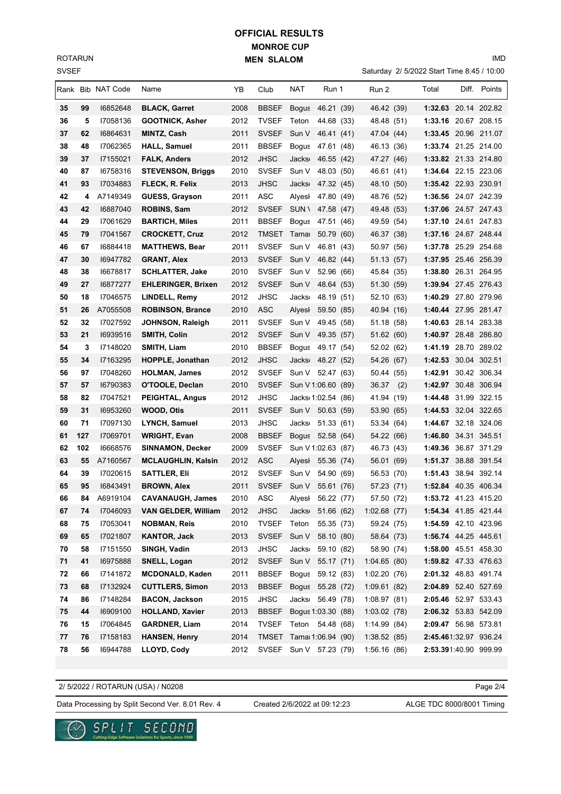SVSEF ROTARUN

## **MONROE CUP MEN SLALOM OFFICIAL RESULTS**

Saturday 2/ 5/2022 Start Time 8:45 / 10:00

IMD

|    |     | Rank Bib NAT Code | Name                       | ΥB   | Club         | NAT                | Run 1      | Run 2       |     | Total                 | Diff. Points |
|----|-----|-------------------|----------------------------|------|--------------|--------------------|------------|-------------|-----|-----------------------|--------------|
| 35 | 99  | 16852648          | <b>BLACK, Garret</b>       | 2008 | <b>BBSEF</b> | Bogus 46.21 (39)   |            | 46.42 (39)  |     | 1:32.63 20.14 202.82  |              |
| 36 | 5   | 17058136          | <b>GOOTNICK, Asher</b>     | 2012 | <b>TVSEF</b> | Teton              | 44.68 (33) | 48.48 (51)  |     | 1:33.16 20.67 208.15  |              |
| 37 | 62  | 16864631          | MINTZ, Cash                | 2011 | <b>SVSEF</b> | Sun V              | 46.41 (41) | 47.04 (44)  |     | 1:33.45 20.96 211.07  |              |
| 38 | 48  | 17062365          | <b>HALL, Samuel</b>        | 2011 | <b>BBSEF</b> | Bogus              | 47.61 (48) | 46.13 (36)  |     | 1:33.74 21.25 214.00  |              |
| 39 | 37  | 17155021          | <b>FALK, Anders</b>        | 2012 | <b>JHSC</b>  | <b>Jacks</b>       | 46.55 (42) | 47.27 (46)  |     | 1:33.82 21.33 214.80  |              |
| 40 | 87  | 16758316          | <b>STEVENSON, Briggs</b>   | 2010 | <b>SVSEF</b> | Sun V              | 48.03 (50) | 46.61 (41)  |     | 1:34.64 22.15 223.06  |              |
| 41 | 93  | 17034883          | FLECK, R. Felix            | 2013 | <b>JHSC</b>  | <b>Jacks</b>       | 47.32 (45) | 48.10 (50)  |     | 1:35.42 22.93 230.91  |              |
| 42 | 4   | A7149349          | GUESS, Grayson             | 2011 | ASC          | Alyesi 47.80 (49)  |            | 48.76 (52)  |     | 1:36.56 24.07 242.39  |              |
| 43 | 42  | 16887040          | <b>ROBINS, Sam</b>         | 2012 | <b>SVSEF</b> | SUN \              | 47.58 (47) | 49.48 (53)  |     | 1:37.06 24.57 247.43  |              |
| 44 | 29  | 17061629          | <b>BARTICH, Miles</b>      | 2011 | <b>BBSEF</b> | Bogus 47.51 (46)   |            | 49.59 (54)  |     | 1:37.10 24.61 247.83  |              |
| 45 | 79  | 17041567          | <b>CROCKETT, Cruz</b>      | 2012 | <b>TMSET</b> | Tama⊨              | 50.79 (60) | 46.37 (38)  |     | 1:37.16 24.67 248.44  |              |
| 46 | 67  | 16884418          | <b>MATTHEWS, Bear</b>      | 2011 | <b>SVSEF</b> | Sun V              | 46.81 (43) | 50.97 (56)  |     | 1:37.78 25.29 254.68  |              |
| 47 | 30  | 16947782          | <b>GRANT, Alex</b>         | 2013 | <b>SVSEF</b> | Sun V              | 46.82 (44) | 51.13 (57)  |     | 1:37.95 25.46 256.39  |              |
| 48 | 38  | 16678817          | <b>SCHLATTER, Jake</b>     | 2010 | <b>SVSEF</b> | Sun V              | 52.96 (66) | 45.84 (35)  |     | 1:38.80 26.31 264.95  |              |
| 49 | 27  | 16877277          | <b>EHLERINGER, Brixen</b>  | 2012 | <b>SVSEF</b> | Sun V              | 48.64 (53) | 51.30 (59)  |     | 1:39.94 27.45 276.43  |              |
| 50 | 18  | I7046575          | <b>LINDELL, Remy</b>       | 2012 | <b>JHSC</b>  | Jacks <sub>'</sub> | 48.19 (51) | 52.10 (63)  |     | 1:40.29 27.80 279.96  |              |
| 51 | 26  | A7055508          | <b>ROBINSON, Brance</b>    | 2010 | <b>ASC</b>   | Alyesl             | 59.50 (85) | 40.94 (16)  |     | 1:40.44 27.95 281.47  |              |
| 52 | 32  | 17027592          | JOHNSON, Raleigh           | 2011 | <b>SVSEF</b> | Sun V              | 49.45 (58) | 51.18 (58)  |     | 1:40.63 28.14 283.38  |              |
| 53 | 21  | 16939516          | SMITH, Colin               | 2012 | <b>SVSEF</b> | Sun V 49.35 (57)   |            | 51.62 (60)  |     | 1:40.97 28.48 286.80  |              |
| 54 | 3   | 17148020          | SMITH, Liam                | 2010 | <b>BBSEF</b> | Bogus              | 49.17 (54) | 52.02 (62)  |     | 1:41.19 28.70 289.02  |              |
| 55 | 34  | I7163295          | <b>HOPPLE, Jonathan</b>    | 2012 | <b>JHSC</b>  | Jacks: 48.27 (52)  |            | 54.26 (67)  |     | 1:42.53 30.04 302.51  |              |
| 56 | 97  | 17048260          | <b>HOLMAN, James</b>       | 2012 | <b>SVSEF</b> | Sun V              | 52.47 (63) | 50.44 (55)  |     | 1:42.91 30.42 306.34  |              |
| 57 | 57  | 16790383          | O'TOOLE, Declan            | 2010 | <b>SVSEF</b> | Sun V 1:06.60 (89) |            | 36.37       | (2) | 1:42.97 30.48 306.94  |              |
| 58 | 82  | 17047521          | PEIGHTAL, Angus            | 2012 | <b>JHSC</b>  | Jacks 1:02.54 (86) |            | 41.94 (19)  |     | 1:44.48 31.99 322.15  |              |
| 59 | 31  | 16953260          | WOOD, Otis                 | 2011 | <b>SVSEF</b> | Sun V 50.63 (59)   |            | 53.90 (65)  |     | 1:44.53 32.04 322.65  |              |
| 60 | 71  | 17097130          | <b>LYNCH, Samuel</b>       | 2013 | <b>JHSC</b>  | Jacks 51.33 (61)   |            | 53.34 (64)  |     | 1:44.67 32.18 324.06  |              |
| 61 | 127 | 17069701          | <b>WRIGHT, Evan</b>        | 2008 | <b>BBSEF</b> | Bogus 52.58 (64)   |            | 54.22 (66)  |     | 1:46.80 34.31 345.51  |              |
| 62 | 102 | 16668576          | <b>SINNAMON, Decker</b>    | 2009 | <b>SVSEF</b> | Sun V 1:02.63 (87) |            | 46.73 (43)  |     | 1:49.36 36.87 371.29  |              |
| 63 | 55  | A7160567          | <b>MCLAUGHLIN, Kalsin</b>  | 2012 | ASC          | Alyesi 55.36 (74)  |            | 56.01 (69)  |     | 1:51.37 38.88 391.54  |              |
| 64 | 39  | 17020615          | <b>SATTLER, Eli</b>        | 2012 | <b>SVSEF</b> | Sun V              | 54.90 (69) | 56.53 (70)  |     | 1:51.43 38.94 392.14  |              |
| 65 | 95  | 16843491          | <b>BROWN, Alex</b>         | 2011 | <b>SVSEF</b> | Sun V              | 55.61 (76) | 57.23 (71)  |     | 1:52.84 40.35 406.34  |              |
| 66 | 84  | A6919104          | <b>CAVANAUGH, James</b>    | 2010 | <b>ASC</b>   | Alyesl             | 56.22 (77) | 57.50 (72)  |     | 1:53.72 41.23 415.20  |              |
| 67 | 74  | 17046093          | <b>VAN GELDER, William</b> | 2012 | <b>JHSC</b>  | Jacks 51.66 (62)   |            | 1:02.68(77) |     | 1:54.34 41.85 421.44  |              |
| 68 | 75  | 17053041          | <b>NOBMAN, Reis</b>        | 2010 | <b>TVSEF</b> | Teton              | 55.35 (73) | 59.24 (75)  |     | 1:54.59 42.10 423.96  |              |
| 69 | 65  | 17021807          | KANTOR, Jack               | 2013 | <b>SVSEF</b> | Sun V              | 58.10 (80) | 58.64 (73)  |     | 1:56.74 44.25 445.61  |              |
| 70 | 58  | 17151550          | SINGH, Vadin               | 2013 | JHSC         | <b>Jacks</b>       | 59.10 (82) | 58.90 (74)  |     | 1:58.00 45.51 458.30  |              |
| 71 | 41  | 16975888          | SNELL, Logan               | 2012 | <b>SVSEF</b> | Sun V              | 55.17 (71) | 1:04.65(80) |     | 1:59.82 47.33 476.63  |              |
| 72 | 66  | 17141872          | <b>MCDONALD, Kaden</b>     | 2011 | <b>BBSEF</b> | Bogus              | 59.12 (83) | 1:02.20(76) |     | 2:01.32 48.83 491.74  |              |
| 73 | 68  | 17132924          | <b>CUTTLERS, Simon</b>     | 2013 | <b>BBSEF</b> | Bogus 55.28 (72)   |            | 1:09.61(82) |     | 2:04.89 52.40 527.69  |              |
| 74 | 86  | 17148284          | <b>BACON, Jackson</b>      | 2015 | <b>JHSC</b>  | Jacks 56.49 (78)   |            | 1:08.97(81) |     | 2:05.46 52.97 533.43  |              |
| 75 | 44  | 16909100          | <b>HOLLAND, Xavier</b>     | 2013 | <b>BBSEF</b> | Bogus 1:03.30 (88) |            | 1:03.02(78) |     | 2:06.32 53.83 542.09  |              |
| 76 | 15  | 17064845          | <b>GARDNER, Liam</b>       | 2014 | <b>TVSEF</b> | Teton 54.48 (68)   |            | 1:14.99(84) |     | 2:09.47 56.98 573.81  |              |
| 77 | 76  | 17158183          | <b>HANSEN, Henry</b>       | 2014 | <b>TMSET</b> | Tama 1:06.94 (90)  |            | 1:38.52(85) |     | 2:45.461:32.97 936.24 |              |
| 78 | 56  | 16944788          | LLOYD, Cody                | 2012 | <b>SVSEF</b> | Sun V 57.23 (79)   |            | 1:56.16(86) |     | 2:53.391:40.90 999.99 |              |

2/ 5/2022 / ROTARUN (USA) / N0208

Page 2/4

Data Processing by Split Second Ver. 8.01 Rev. 4 Created 2/6/2022 at 09:12:23 ALGE TDC 8000/8001 Timing

Created 2/6/2022 at 09:12:23

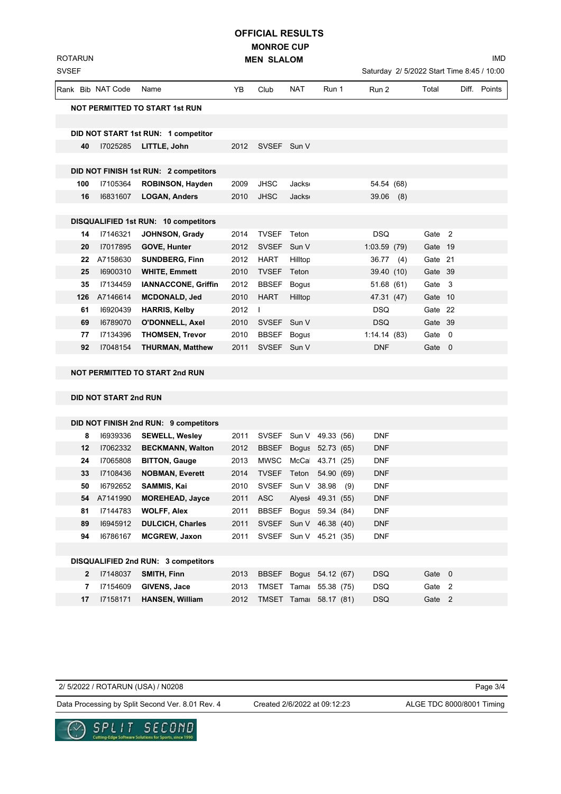**MONROE CUP MEN SLALOM OFFICIAL RESULTS**

IMD

| <b>SVSEF</b> |     |                       |                                       |      |              |              |                        |              |         | Saturday 2/ 5/2022 Start Time 8:45 / 10:00 |              |
|--------------|-----|-----------------------|---------------------------------------|------|--------------|--------------|------------------------|--------------|---------|--------------------------------------------|--------------|
|              |     | Rank Bib NAT Code     | Name                                  | YB   | Club         | NAT          | Run 1                  | Run 2        | Total   |                                            | Diff. Points |
|              |     |                       | <b>NOT PERMITTED TO START 1st RUN</b> |      |              |              |                        |              |         |                                            |              |
|              |     |                       |                                       |      |              |              |                        |              |         |                                            |              |
|              |     |                       | DID NOT START 1st RUN: 1 competitor   |      |              |              |                        |              |         |                                            |              |
|              | 40  | 17025285              | LITTLE, John                          | 2012 | SVSEF Sun V  |              |                        |              |         |                                            |              |
|              |     |                       |                                       |      |              |              |                        |              |         |                                            |              |
|              |     |                       | DID NOT FINISH 1st RUN: 2 competitors |      |              |              |                        |              |         |                                            |              |
|              | 100 | I7105364              | <b>ROBINSON, Hayden</b>               | 2009 | <b>JHSC</b>  | <b>Jacks</b> |                        | 54.54 (68)   |         |                                            |              |
|              | 16  | 16831607              | <b>LOGAN, Anders</b>                  | 2010 | <b>JHSC</b>  | <b>Jacks</b> |                        | $39.06$ (8)  |         |                                            |              |
|              |     |                       |                                       |      |              |              |                        |              |         |                                            |              |
|              |     |                       | DISQUALIFIED 1st RUN: 10 competitors  |      |              |              |                        |              |         |                                            |              |
|              | 14  | 17146321              | <b>JOHNSON, Grady</b>                 | 2014 | TVSEF Teton  |              |                        | DSQ.         | Gate 2  |                                            |              |
|              | 20  | 17017895              | <b>GOVE, Hunter</b>                   | 2012 | SVSEF Sun V  |              |                        | 1:03.59 (79) | Gate 19 |                                            |              |
|              | 22  | A7158630              | <b>SUNDBERG, Finn</b>                 | 2012 | <b>HART</b>  | Hilltop      |                        | 36.77(4)     | Gate 21 |                                            |              |
|              | 25  | 16900310              | <b>WHITE, Emmett</b>                  | 2010 | <b>TVSEF</b> | Teton        |                        | 39.40 (10)   | Gate 39 |                                            |              |
|              | 35  | 17134459              | <b>IANNACCONE, Griffin</b>            | 2012 | <b>BBSEF</b> | Bogus        |                        | 51.68 (61)   | Gate 3  |                                            |              |
|              | 126 | A7146614              | <b>MCDONALD, Jed</b>                  | 2010 | <b>HART</b>  | Hilltop      |                        | 47.31 (47)   | Gate 10 |                                            |              |
|              | 61  | 16920439              | <b>HARRIS, Kelby</b>                  | 2012 | $\mathbf{I}$ |              |                        | <b>DSQ</b>   | Gate 22 |                                            |              |
|              | 69  | 16789070              | <b>O'DONNELL, Axel</b>                | 2010 | SVSEF Sun V  |              |                        | <b>DSQ</b>   | Gate 39 |                                            |              |
|              | 77  | 17134396              | <b>THOMSEN, Trevor</b>                | 2010 | BBSEF Bogus  |              |                        | 1:14.14(83)  | Gate 0  |                                            |              |
|              | 92  | 17048154              | <b>THURMAN, Matthew</b>               | 2011 | SVSEF Sun V  |              |                        | <b>DNF</b>   | Gate 0  |                                            |              |
|              |     |                       | NOT PERMITTED TO START 2nd RUN        |      |              |              |                        |              |         |                                            |              |
|              |     |                       |                                       |      |              |              |                        |              |         |                                            |              |
|              |     | DID NOT START 2nd RUN |                                       |      |              |              |                        |              |         |                                            |              |
|              |     |                       |                                       |      |              |              |                        |              |         |                                            |              |
|              |     |                       | DID NOT FINISH 2nd RUN: 9 competitors |      |              |              |                        |              |         |                                            |              |
|              | 8   | 16939336              | <b>SEWELL, Wesley</b>                 | 2011 |              |              | SVSEF Sun V 49.33 (56) | <b>DNF</b>   |         |                                            |              |
|              | 12  | 17062332              | <b>BECKMANN, Walton</b>               | 2012 | BBSEF        |              | Bogus 52.73 (65)       | DNF          |         |                                            |              |
|              | 24  | 17065808              | <b>BITTON, Gauge</b>                  | 2013 | MWSC         | McCa         | 43.71 (25)             | <b>DNF</b>   |         |                                            |              |
|              | 33  | 17108436              | <b>NOBMAN, Everett</b>                | 2014 | TVSEF Teton  |              | 54.90 (69)             | <b>DNF</b>   |         |                                            |              |
|              | 50  | 16792652              | SAMMIS, Kai                           | 2010 | <b>SVSEF</b> | Sun V        | 38.98<br>(9)           | <b>DNF</b>   |         |                                            |              |
|              | 54  | A7141990              | <b>MOREHEAD, Jayce</b>                | 2011 | <b>ASC</b>   |              | Alyesl 49.31 (55)      | <b>DNF</b>   |         |                                            |              |
|              | 81  | 17144783              | <b>WOLFF, Alex</b>                    | 2011 | <b>BBSEF</b> |              | Bogus 59.34 (84)       | <b>DNF</b>   |         |                                            |              |
|              | 89  | 16945912              | <b>DULCICH, Charles</b>               | 2011 |              |              | SVSEF Sun V 46.38 (40) | <b>DNF</b>   |         |                                            |              |
|              | 94  | 16786167              | <b>MCGREW, Jaxon</b>                  | 2011 |              |              | SVSEF Sun V 45.21 (35) | <b>DNF</b>   |         |                                            |              |
|              |     |                       |                                       |      |              |              |                        |              |         |                                            |              |
|              |     |                       | DISQUALIFIED 2nd RUN: 3 competitors   |      |              |              |                        |              |         |                                            |              |
|              | 2   | 17148037              | SMITH, Finn                           | 2013 | <b>BBSEF</b> |              | Bogus 54.12 (67)       | <b>DSQ</b>   | Gate 0  |                                            |              |
|              | 7   | 17154609              | GIVENS, Jace                          | 2013 |              |              | TMSET Tama: 55.38 (75) | <b>DSQ</b>   | Gate 2  |                                            |              |
|              | 17  | 17158171              | <b>HANSEN, William</b>                | 2012 |              |              | TMSET Tama: 58.17 (81) | <b>DSQ</b>   | Gate 2  |                                            |              |

2/ 5/2022 / ROTARUN (USA) / N0208

ROTARUN

Data Processing by Split Second Ver. 8.01 Rev. 4 Created 2/6/2022 at 09:12:23 ALGE TDC 8000/8001 Timing

Created 2/6/2022 at 09:12:23

Page 3/4